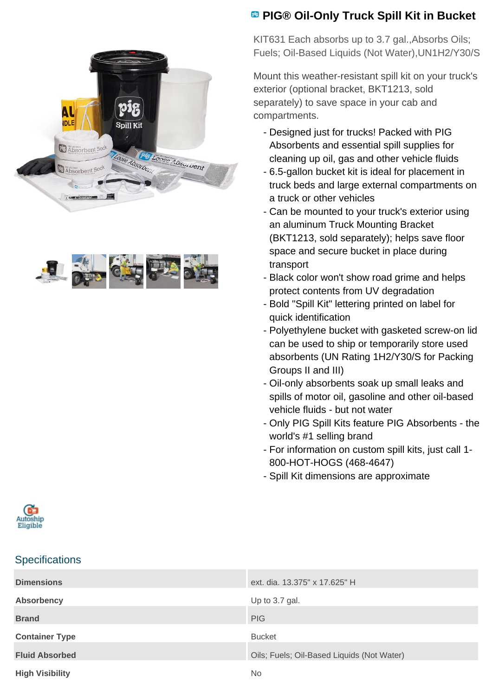



## **PIG® Oil-Only Truck Spill Kit in Bucket**

KIT631 Each absorbs up to 3.7 gal.,Absorbs Oils; Fuels; Oil-Based Liquids (Not Water),UN1H2/Y30/S

Mount this weather-resistant spill kit on your truck's exterior (optional bracket, BKT1213, sold separately) to save space in your cab and compartments.

- Designed just for trucks! Packed with PIG Absorbents and essential spill supplies for cleaning up oil, gas and other vehicle fluids
- 6.5-gallon bucket kit is ideal for placement in truck beds and large external compartments on a truck or other vehicles
- Can be mounted to your truck's exterior using an aluminum Truck Mounting Bracket (BKT1213, sold separately); helps save floor space and secure bucket in place during transport
- Black color won't show road grime and helps protect contents from UV degradation
- Bold "Spill Kit" lettering printed on label for quick identification
- Polyethylene bucket with gasketed screw-on lid can be used to ship or temporarily store used absorbents (UN Rating 1H2/Y30/S for Packing Groups II and III)
- Oil-only absorbents soak up small leaks and spills of motor oil, gasoline and other oil-based vehicle fluids - but not water
- Only PIG Spill Kits feature PIG Absorbents the world's #1 selling brand
- For information on custom spill kits, just call 1-800-HOT-HOGS (468-4647)
- Spill Kit dimensions are approximate



## **Specifications**

| <b>Dimensions</b>      | ext. dia. 13.375" x 17.625" H              |
|------------------------|--------------------------------------------|
| Absorbency             | Up to 3.7 gal.                             |
| <b>Brand</b>           | <b>PIG</b>                                 |
| <b>Container Type</b>  | <b>Bucket</b>                              |
| <b>Fluid Absorbed</b>  | Oils; Fuels; Oil-Based Liquids (Not Water) |
| <b>High Visibility</b> | No.                                        |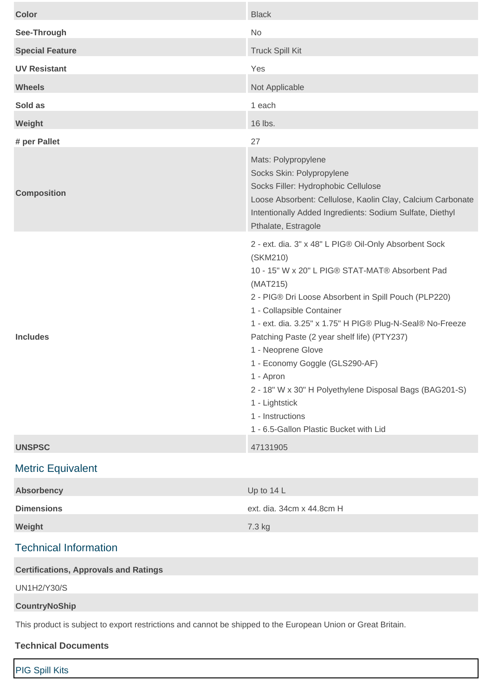| <b>Color</b>                                                                                                 | <b>Black</b>                                                                                                                                                                                                                                                                                                                                                                                                                                                                                                                                      |
|--------------------------------------------------------------------------------------------------------------|---------------------------------------------------------------------------------------------------------------------------------------------------------------------------------------------------------------------------------------------------------------------------------------------------------------------------------------------------------------------------------------------------------------------------------------------------------------------------------------------------------------------------------------------------|
| See-Through                                                                                                  | No                                                                                                                                                                                                                                                                                                                                                                                                                                                                                                                                                |
| <b>Special Feature</b>                                                                                       | <b>Truck Spill Kit</b>                                                                                                                                                                                                                                                                                                                                                                                                                                                                                                                            |
| <b>UV Resistant</b>                                                                                          | Yes                                                                                                                                                                                                                                                                                                                                                                                                                                                                                                                                               |
| <b>Wheels</b>                                                                                                | Not Applicable                                                                                                                                                                                                                                                                                                                                                                                                                                                                                                                                    |
| Sold as                                                                                                      | 1 each                                                                                                                                                                                                                                                                                                                                                                                                                                                                                                                                            |
| Weight                                                                                                       | 16 lbs.                                                                                                                                                                                                                                                                                                                                                                                                                                                                                                                                           |
| # per Pallet                                                                                                 | 27                                                                                                                                                                                                                                                                                                                                                                                                                                                                                                                                                |
| <b>Composition</b>                                                                                           | Mats: Polypropylene<br>Socks Skin: Polypropylene<br>Socks Filler: Hydrophobic Cellulose<br>Loose Absorbent: Cellulose, Kaolin Clay, Calcium Carbonate<br>Intentionally Added Ingredients: Sodium Sulfate, Diethyl<br>Pthalate, Estragole                                                                                                                                                                                                                                                                                                          |
| <b>Includes</b>                                                                                              | 2 - ext. dia. 3" x 48" L PIG® Oil-Only Absorbent Sock<br>(SKM210)<br>10 - 15" W x 20" L PIG® STAT-MAT® Absorbent Pad<br>(MAT215)<br>2 - PIG® Dri Loose Absorbent in Spill Pouch (PLP220)<br>1 - Collapsible Container<br>1 - ext. dia. 3.25" x 1.75" H PIG® Plug-N-Seal® No-Freeze<br>Patching Paste (2 year shelf life) (PTY237)<br>1 - Neoprene Glove<br>1 - Economy Goggle (GLS290-AF)<br>1 - Apron<br>2 - 18" W x 30" H Polyethylene Disposal Bags (BAG201-S)<br>1 - Lightstick<br>1 - Instructions<br>1 - 6.5-Gallon Plastic Bucket with Lid |
| <b>UNSPSC</b>                                                                                                | 47131905                                                                                                                                                                                                                                                                                                                                                                                                                                                                                                                                          |
| <b>Metric Equivalent</b>                                                                                     |                                                                                                                                                                                                                                                                                                                                                                                                                                                                                                                                                   |
| <b>Absorbency</b>                                                                                            | Up to 14 L                                                                                                                                                                                                                                                                                                                                                                                                                                                                                                                                        |
| <b>Dimensions</b>                                                                                            | ext. dia. 34cm x 44.8cm H                                                                                                                                                                                                                                                                                                                                                                                                                                                                                                                         |
| Weight                                                                                                       | 7.3 kg                                                                                                                                                                                                                                                                                                                                                                                                                                                                                                                                            |
| <b>Technical Information</b>                                                                                 |                                                                                                                                                                                                                                                                                                                                                                                                                                                                                                                                                   |
| <b>Certifications, Approvals and Ratings</b>                                                                 |                                                                                                                                                                                                                                                                                                                                                                                                                                                                                                                                                   |
| <b>UN1H2/Y30/S</b>                                                                                           |                                                                                                                                                                                                                                                                                                                                                                                                                                                                                                                                                   |
| <b>CountryNoShip</b>                                                                                         |                                                                                                                                                                                                                                                                                                                                                                                                                                                                                                                                                   |
| This product is subject to export restrictions and cannot be shipped to the European Union or Great Britain. |                                                                                                                                                                                                                                                                                                                                                                                                                                                                                                                                                   |
| <b>Technical Documents</b>                                                                                   |                                                                                                                                                                                                                                                                                                                                                                                                                                                                                                                                                   |